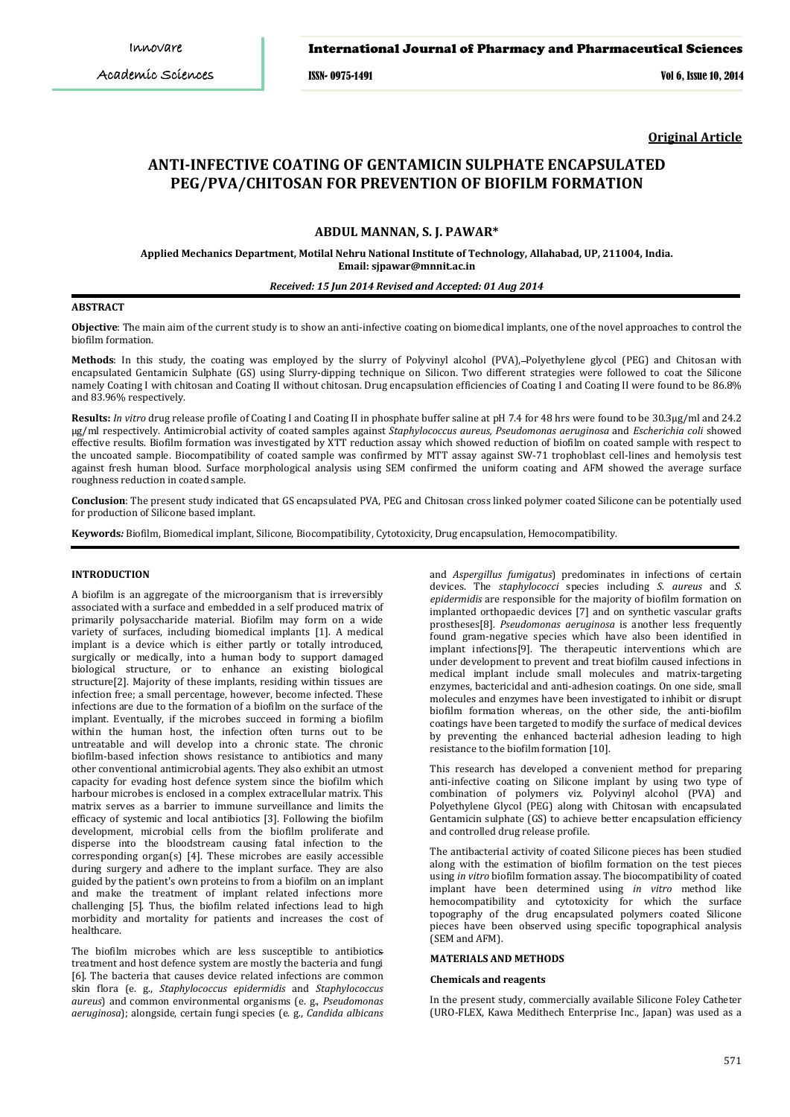# *Pawar et al.* International Journal of Pharmacy and Pharmaceutical Sciences

*Int J Pharm Pharm Sci, Vol 6, Issue 10, 571-576* ISSN- 0975-1491 Vol 6, Issue 10, 2014

**Original Article**

# **ANTI-INFECTIVE COATING OF GENTAMICIN SULPHATE ENCAPSULATED PEG/PVA/CHITOSAN FOR PREVENTION OF BIOFILM FORMATION**

# **ABDUL MANNAN, S. J. PAWAR\***

**Applied Mechanics Department, Motilal Nehru National Institute of Technology, Allahabad, UP, 211004, India. Email: sjpawar@mnnit.ac.in** 

## *Received: 15 Jun 2014 Revised and Accepted: 01 Aug 2014*

## **ABSTRACT**

**Objective**: The main aim of the current study is to show an anti-infective coating on biomedical implants, one of the novel approaches to control the biofilm formation.

**Methods**: In this study, the coating was employed by the slurry of Polyvinyl alcohol (PVA), Polyethylene glycol (PEG) and Chitosan with encapsulated Gentamicin Sulphate (GS) using Slurry-dipping technique on Silicon. Two different strategies were followed to coat the Silicone namely Coating I with chitosan and Coating II without chitosan. Drug encapsulation efficiencies of Coating I and Coating II were found to be 86.8% and 83.96% respectively.

**Results:** *In vitro* drug release profile of Coating I and Coating II in phosphate buffer saline at pH 7.4 for 48 hrs were found to be 30.3µg/ml and 24.2 µg/ml respectively. Antimicrobial activity of coated samples against *Staphylococcus aureus, Pseudomonas aeruginosa* and *Escherichia coli* showed effective results. Biofilm formation was investigated by XTT reduction assay which showed reduction of biofilm on coated sample with respect to the uncoated sample. Biocompatibility of coated sample was confirmed by MTT assay against SW-71 trophoblast cell-lines and hemolysis test against fresh human blood. Surface morphological analysis using SEM confirmed the uniform coating and AFM showed the average surface roughness reduction in coated sample.

**Conclusion**: The present study indicated that GS encapsulated PVA, PEG and Chitosan cross linked polymer coated Silicone can be potentially used for production of Silicone based implant.

**Keywords***:* Biofilm, Biomedical implant, Silicone, Biocompatibility, Cytotoxicity, Drug encapsulation, Hemocompatibility.

### **INTRODUCTION**

A biofilm is an aggregate of the microorganism that is irreversibly associated with a surface and embedded in a self produced matrix of primarily polysaccharide material. Biofilm may form on a wide variety of surfaces, including biomedical implants [1]. A medical implant is a device which is either partly or totally introduced, surgically or medically, into a human body to support damaged biological structure, or to enhance an existing biological structure[2]. Majority of these implants, residing within tissues are infection free; a small percentage, however, become infected. These infections are due to the formation of a biofilm on the surface of the implant. Eventually, if the microbes succeed in forming a biofilm within the human host, the infection often turns out to be untreatable and will develop into a chronic state. The chronic biofilm-based infection shows resistance to antibiotics and many other conventional antimicrobial agents. They also exhibit an utmost capacity for evading host defence system since the biofilm which harbour microbes is enclosed in a complex extracellular matrix. This matrix serves as a barrier to immune surveillance and limits the efficacy of systemic and local antibiotics [3]. Following the biofilm development, microbial cells from the biofilm proliferate and disperse into the bloodstream causing fatal infection to the corresponding organ(s) [4]. These microbes are easily accessible during surgery and adhere to the implant surface. They are also guided by the patient's own proteins to from a biofilm on an implant and make the treatment of implant related infections more challenging [5]. Thus, the biofilm related infections lead to high morbidity and mortality for patients and increases the cost of healthcare.

The biofilm microbes which are less susceptible to antibiotic s treatment and host defence system are mostly the bacteria and fungi [6]. The bacteria that causes device related infections are common skin flora (e. g., *Staphylococcus epidermidis* and *Staphylococcus aureus*) and common environmental organisms (e. g., *Pseudomonas aeruginosa*); alongside, certain fungi species (e. g., *Candida albicans*

and *Aspergillus fumigatus*) predominates in infections of certain devices. The *staphylococci* species including *S. aureus* and *S. epidermidis* are responsible for the majority of biofilm formation on implanted orthopaedic devices [7] and on synthetic vascular grafts prostheses[8]. *Pseudomonas aeruginosa* is another less frequently found gram-negative species which have also been identified in implant infections[9]. The therapeutic interventions which are under development to prevent and treat biofilm caused infections in medical implant include small molecules and matrix-targeting enzymes, bactericidal and anti-adhesion coatings. On one side, small molecules and enzymes have been investigated to inhibit or disrupt biofilm formation whereas, on the other side, the anti-biofilm coatings have been targeted to modify the surface of medical devices by preventing the enhanced bacterial adhesion leading to high resistance to the biofilm formation [10].

This research has developed a convenient method for preparing anti-infective coating on Silicone implant by using two type of combination of polymers viz. Polyvinyl alcohol (PVA) and Polyethylene Glycol (PEG) along with Chitosan with encapsulated Gentamicin sulphate (GS) to achieve better encapsulation efficiency and controlled drug release profile.

The antibacterial activity of coated Silicone pieces has been studied along with the estimation of biofilm formation on the test pieces using *in vitro* biofilm formation assay. The biocompatibility of coated implant have been determined using *in vitro* method like hemocompatibility and cytotoxicity for which the surface topography of the drug encapsulated polymers coated Silicone pieces have been observed using specific topographical analysis (SEM and AFM).

# **MATERIALS AND METHODS**

## **Chemicals and reagents**

In the present study, commercially available Silicone Foley Catheter (URO-FLEX, Kawa Medithech Enterprise Inc., Japan) was used as a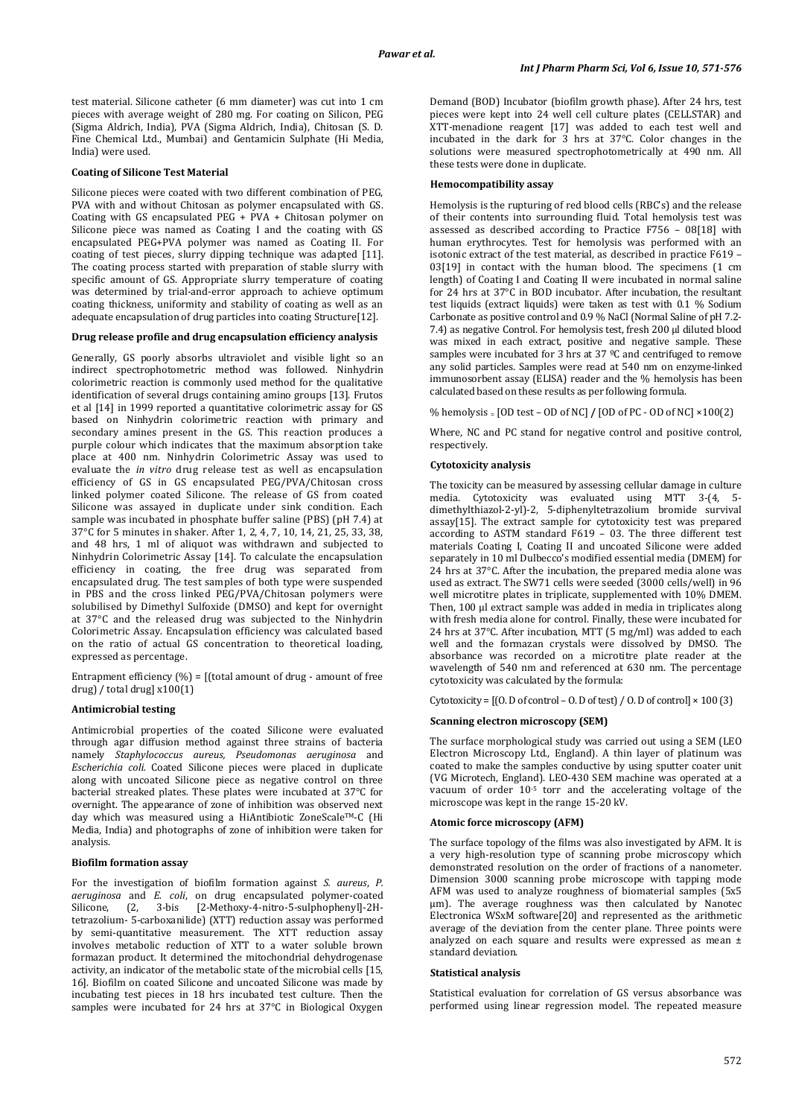test material. Silicone catheter (6 mm diameter) was cut into 1 cm pieces with average weight of 280 mg. For coating on Silicon, PEG (Sigma Aldrich, India), PVA (Sigma Aldrich, India), Chitosan (S. D. Fine Chemical Ltd., Mumbai) and Gentamicin Sulphate (Hi Media, India) were used.

## **Coating of Silicone Test Material**

Silicone pieces were coated with two different combination of PEG, PVA with and without Chitosan as polymer encapsulated with GS. Coating with GS encapsulated PEG  $+$  PVA + Chitosan polymer on Silicone piece was named as Coating I and the coating with GS encapsulated PEG+PVA polymer was named as Coating II. For coating of test pieces, slurry dipping technique was adapted [11]. The coating process started with preparation of stable slurry with specific amount of GS. Appropriate slurry temperature of coating was determined by trial-and-error approach to achieve optimum coating thickness, uniformity and stability of coating as well as an adequate encapsulation of drug particles into coating Structure<sup>[12]</sup>.

#### **Drug release profile and drug encapsulation efficiency analysis**

Generally, GS poorly absorbs ultraviolet and visible light so an indirect spectrophotometric method was followed. Ninhydrin colorimetric reaction is commonly used method for the qualitative identification of several drugs containing amino groups [13]. Frutos et al [14] in 1999 reported a quantitative colorimetric assay for GS based on Ninhydrin colorimetric reaction with primary and secondary amines present in the GS. This reaction produces a purple colour which indicates that the maximum absorption take place at 400 nm. Ninhydrin Colorimetric Assay was used to evaluate the *in vitro* drug release test as well as encapsulation efficiency of GS in GS encapsulated PEG/PVA/Chitosan cross linked polymer coated Silicone. The release of GS from coated Silicone was assayed in duplicate under sink condition. Each sample was incubated in phosphate buffer saline (PBS) (pH 7.4) at 37°C for 5 minutes in shaker. After 1, 2, 4, 7, 10, 14, 21, 25, 33, 38, and 48 hrs, 1 ml of aliquot was withdrawn and subjected to Ninhydrin Colorimetric Assay [14]. To calculate the encapsulation efficiency in coating, the free drug was separated from encapsulated drug. The test samples of both type were suspended in PBS and the cross linked PEG/PVA/Chitosan polymers were solubilised by Dimethyl Sulfoxide (DMSO) and kept for overnight at 37°C and the released drug was subjected to the Ninhydrin Colorimetric Assay. Encapsulation efficiency was calculated based on the ratio of actual GS concentration to theoretical loading, expressed as percentage.

Entrapment efficiency  $(\%)$  = [(total amount of drug - amount of free drug) / total drug]  $x100(1)$ 

#### **Antimicrobial testing**

Antimicrobial properties of the coated Silicone were evaluated through agar diffusion method against three strains of bacteria namely *Staphylococcus aureus, Pseudomonas aeruginosa* and *Escherichia coli.* Coated Silicone pieces were placed in duplicate along with uncoated Silicone piece as negative control on three bacterial streaked plates. These plates were incubated at 37°C for overnight. The appearance of zone of inhibition was observed next day which was measured using a HiAntibiotic ZoneScale™-C (Hi Media, India) and photographs of zone of inhibition were taken for analysis.

#### **Biofilm formation assay**

For the investigation of biofilm formation against *S. aureus*, *P. aeruginosa* and *E. coli*, on drug encapsulated polymer-coated [2-Methoxy-4-nitro-5-sulphophenyl]-2Htetrazolium- 5-carboxanilide) (XTT) reduction assay was performed by semi-quantitative measurement. The XTT reduction assay involves metabolic reduction of XTT to a water soluble brown formazan product. It determined the mitochondrial dehydrogenase activity, an indicator of the metabolic state of the microbial cells [15, 16]. Biofilm on coated Silicone and uncoated Silicone was made by incubating test pieces in 18 hrs incubated test culture. Then the samples were incubated for 24 hrs at 37°C in Biological Oxygen

Demand (BOD) Incubator (biofilm growth phase). After 24 hrs, test pieces were kept into 24 well cell culture plates (CELLSTAR) and XTT-menadione reagent [17] was added to each test well and incubated in the dark for 3 hrs at 37°C. Color changes in the solutions were measured spectrophotometrically at 490 nm. All these tests were done in duplicate.

## **Hemocompatibility assay**

Hemolysis is the rupturing of red blood cells (RBC's) and the release of their contents into surrounding fluid. Total hemolysis test was assessed as described according to Practice F756 – 08[18] with human erythrocytes. Test for hemolysis was performed with an isotonic extract of the test material, as described in practice F619 – 03[19] in contact with the human blood. The specimens (1 cm length) of Coating I and Coating II were incubated in normal saline for 24 hrs at 37°C in BOD incubator. After incubation, the resultant test liquids (extract liquids) were taken as test with 0.1 % Sodium Carbonate as positive control and 0.9 % NaCl (Normal Saline of pH 7.2- 7.4) as negative Control. For hemolysis test, fresh 200 µl diluted blood was mixed in each extract, positive and negative sample. These samples were incubated for 3 hrs at 37 °C and centrifuged to remove any solid particles. Samples were read at 540 nm on enzyme-linked immunosorbent assay (ELISA) reader and the % hemolysis has been calculated based on these results as per following formula.

% hemolysis = [OD test – OD of NC] **/** [OD of PC - OD of NC] ×100(2)

Where, NC and PC stand for negative control and positive control, respectively.

#### **Cytotoxicity analysis**

The toxicity can be measured by assessing cellular damage in culture media. Cytotoxicity was evaluated using MTT 3-(4, 5 [dimethyl](http://en.wikipedia.org/wiki/Di-)[thiazol-](http://en.wikipedia.org/wiki/Thiazole)2-yl)-2, 5-[diphenylt](http://en.wikipedia.org/wiki/Phenyl)etrazolium bromide survival assay[15]. The extract sample for cytotoxicity test was prepared according to ASTM standard F619 – 03. The three different test materials Coating I, Coating II and uncoated Silicone were added separately in 10 ml Dulbecco's modified essential media (DMEM) for 24 hrs at 37°C. After the incubation, the prepared media alone was used as extract. The SW71 cells were seeded (3000 cells/well) in 96 well microtitre plates in triplicate, supplemented with 10% DMEM. Then, 100 µl extract sample was added in media in triplicates along with fresh media alone for control. Finally, these were incubated for 24 hrs at 37°C. After incubation, MTT (5 mg/ml) was added to each well and the formazan crystals were dissolved by DMSO. The absorbance was recorded on a microtitre plate reader at the wavelength of 540 nm and referenced at 630 nm. The percentage cytotoxicity was calculated by the formula:

Cytotoxicity =  $[(0. D of control – 0. D of test) / 0. D of control] \times 100 (3)$ 

#### **Scanning electron microscopy (SEM)**

The surface morphological study was carried out using a SEM (LEO Electron Microscopy Ltd., England). A thin layer of platinum was coated to make the samples conductive by using sputter coater unit (VG Microtech, England). LEO-430 SEM machine was operated at a vacuum of order 10<sup>-5</sup> torr and the accelerating voltage of the microscope was kept in the range 15-20 kV.

## **Atomic force microscopy (AFM)**

The surface topology of the films was also investigated by AFM. It is a very high-resolution type of scanning probe microscopy which demonstrated resolution on the order of fractions of a nanometer. Dimension 3000 scanning probe microscope with tapping mode AFM was used to analyze roughness of biomaterial samples (5x5 µm). The average roughness was then calculated by Nanotec Electronica WSxM software[20] and represented as the arithmetic average of the deviation from the center plane. Three points were analyzed on each square and results were expressed as mean ± standard deviation.

#### **Statistical analysis**

Statistical evaluation for correlation of GS versus absorbance was performed using linear regression model. The repeated measure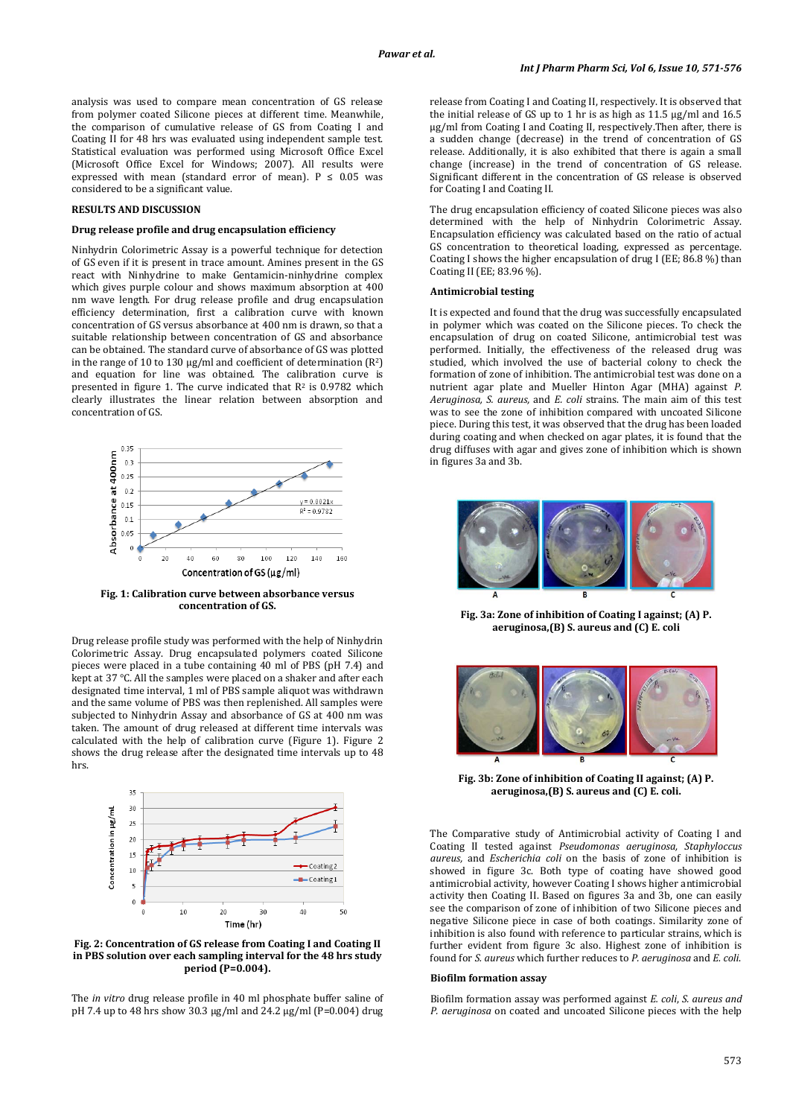analysis was used to compare mean concentration of GS release from polymer coated Silicone pieces at different time. Meanwhile, the comparison of cumulative release of GS from Coating I and Coating II for 48 hrs was evaluated using independent sample test. Statistical evaluation was performed using Microsoft Office Excel (Microsoft Office Excel for Windows; 2007). All results were expressed with mean (standard error of mean).  $P \le 0.05$  was considered to be a significant value.

## **RESULTS AND DISCUSSION**

#### **Drug release profile and drug encapsulation efficiency**

Ninhydrin Colorimetric Assay is a powerful technique for detection of GS even if it is present in trace amount. Amines present in the GS react with Ninhydrine to make Gentamicin-ninhydrine complex which gives purple colour and shows maximum absorption at 400 nm wave length. For drug release profile and drug encapsulation efficiency determination, first a calibration curve with known concentration of GS versus absorbance at 400 nm is drawn, so that a suitable relationship between concentration of GS and absorbance can be obtained. The standard curve of absorbance of GS was plotted in the range of 10 to 130  $\mu$ g/ml and coefficient of determination (R<sup>2</sup>) and equation for line was obtained. The calibration curve is presented in figure 1. The curve indicated that  $R^2$  is 0.9782 which clearly illustrates the linear relation between absorption and concentration of GS.



**Fig. 1: Calibration curve between absorbance versus concentration of GS.**

Drug release profile study was performed with the help of Ninhydrin Colorimetric Assay. Drug encapsulated polymers coated Silicone pieces were placed in a tube containing 40 ml of PBS (pH 7.4) and kept at 37 °C. All the samples were placed on a shaker and after each designated time interval, 1 ml of PBS sample aliquot was withdrawn and the same volume of PBS was then replenished. All samples were subjected to Ninhydrin Assay and absorbance of GS at 400 nm was taken. The amount of drug released at different time intervals was calculated with the help of calibration curve (Figure 1). Figure 2 shows the drug release after the designated time intervals up to 48 hrs.



**Fig. 2: Concentration of GS release from Coating I and Coating II in PBS solution over each sampling interval for the 48 hrs study period (P=0.004).**

The *in vitro* drug release profile in 40 ml phosphate buffer saline of pH 7.4 up to 48 hrs show 30.3 µg/ml and 24.2 µg/ml (P=0.004) drug release from Coating I and Coating II, respectively. It is observed that the initial release of GS up to 1 hr is as high as 11.5 µg/ml and 16.5 µg/ml from Coating I and Coating II, respectively.Then after, there is a sudden change (decrease) in the trend of concentration of GS release. Additionally, it is also exhibited that there is again a small change (increase) in the trend of concentration of GS release. Significant different in the concentration of GS release is observed for Coating I and Coating II.

The drug encapsulation efficiency of coated Silicone pieces was also determined with the help of Ninhydrin Colorimetric Assay. Encapsulation efficiency was calculated based on the ratio of actual GS concentration to theoretical loading, expressed as percentage. Coating I shows the higher encapsulation of drug I (EE; 86.8 %) than Coating II (EE; 83.96 %).

#### **Antimicrobial testing**

It is expected and found that the drug was successfully encapsulated in polymer which was coated on the Silicone pieces. To check the encapsulation of drug on coated Silicone, antimicrobial test was performed. Initially, the effectiveness of the released drug was studied, which involved the use of bacterial colony to check the formation of zone of inhibition. The antimicrobial test was done on a nutrient agar plate and Mueller Hinton Agar (MHA) against *P. Aeruginosa, S. aureus,* and *E. coli* strains. The main aim of this test was to see the zone of inhibition compared with uncoated Silicone piece. During this test, it was observed that the drug has been loaded during coating and when checked on agar plates, it is found that the drug diffuses with agar and gives zone of inhibition which is shown in figures 3a and 3b.



**Fig. 3a: Zone of inhibition of Coating I against; (A) P. aeruginosa,(B) S. aureus and (C) E. coli**



**Fig. 3b: Zone of inhibition of Coating II against; (A) P. aeruginosa,(B) S. aureus and (C) E. coli.**

The Comparative study of Antimicrobial activity of Coating I and Coating II tested against *Pseudomonas aeruginosa, Staphyloccus aureus,* and *Escherichia coli* on the basis of zone of inhibition is showed in figure 3c. Both type of coating have showed good antimicrobial activity, however Coating I shows higher antimicrobial activity then Coating II. Based on figures 3a and 3b, one can easily see the comparison of zone of inhibition of two Silicone pieces and negative Silicone piece in case of both coatings. Similarity zone of inhibition is also found with reference to particular strains, which is further evident from figure 3c also. Highest zone of inhibition is found for *S. aureus* which further reduces to *P. aeruginosa* and *E. coli*.

#### **Biofilm formation assay**

Biofilm formation assay was performed against *E. coli*, *S. aureus and P. aeruginosa* on coated and uncoated Silicone pieces with the help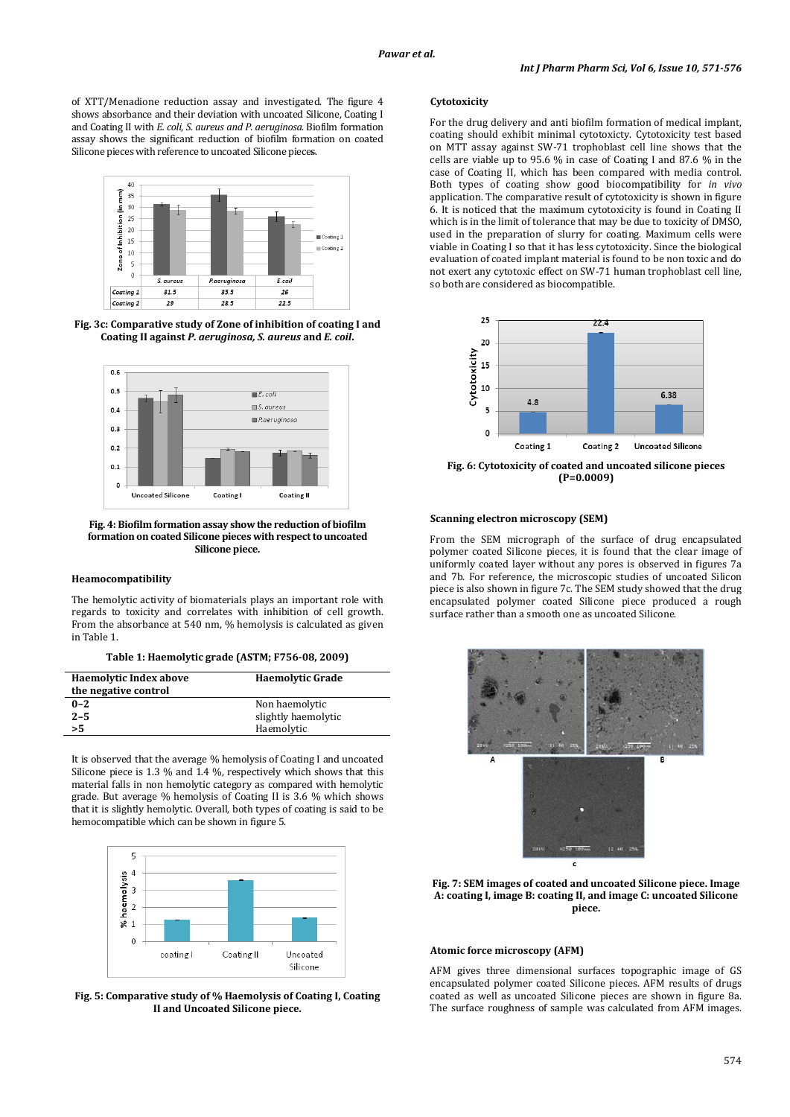of XTT/Menadione reduction assay and investigated. The figure 4 shows absorbance and their deviation with uncoated Silicone, Coating I and Coating II with *E. coli*, *S. aureus and P. aeruginosa*. Biofilm formation assay shows the significant reduction of biofilm formation on coated Silicone pieces with reference to uncoated Silicone pieces.



**Fig. 3c: Comparative study of Zone of inhibition of coating I and Coating II against** *P. aeruginosa, S. aureus* **and** *E. coil***.**



**Fig. 4: Biofilm formation assay show the reduction of biofilm formation on coated Silicone pieces with respect to uncoated Silicone piece.**

## **Heamocompatibility**

The hemolytic activity of biomaterials plays an important role with regards to toxicity and correlates with inhibition of cell growth. From the absorbance at 540 nm, % hemolysis is calculated as given in Table 1.

|  | Table 1: Haemolytic grade (ASTM; F756-08, 2009) |  |  |  |
|--|-------------------------------------------------|--|--|--|
|--|-------------------------------------------------|--|--|--|

| <b>Haemolytic Index above</b><br>the negative control | <b>Haemolytic Grade</b> |  |
|-------------------------------------------------------|-------------------------|--|
| $0 - 2$                                               | Non haemolytic          |  |
| $2 - 5$                                               | slightly haemolytic     |  |
| >5                                                    | Haemolytic              |  |

It is observed that the average % hemolysis of Coating I and uncoated Silicone piece is 1.3 % and 1.4 %, respectively which shows that this material falls in non hemolytic category as compared with hemolytic grade. But average % hemolysis of Coating II is 3.6 % which shows that it is slightly hemolytic. Overall, both types of coating is said to be hemocompatible which can be shown in figure 5.



**Fig. 5: Comparative study of % Haemolysis of Coating I, Coating II and Uncoated Silicone piece.**

## **Cytotoxicity**

For the drug delivery and anti biofilm formation of medical implant, coating should exhibit minimal cytotoxicty. Cytotoxicity test based on MTT assay against SW-71 trophoblast cell line shows that the cells are viable up to 95.6 % in case of Coating I and 87.6 % in the case of Coating II, which has been compared with media control. Both types of coating show good biocompatibility for *in vivo* application. The comparative result of cytotoxicity is shown in figure 6. It is noticed that the maximum cytotoxicity is found in Coating II which is in the limit of tolerance that may be due to toxicity of DMSO, used in the preparation of slurry for coating. Maximum cells were viable in Coating I so that it has less cytotoxicity. Since the biological evaluation of coated implant material is found to be non toxic and do not exert any cytotoxic effect on SW-71 human trophoblast cell line, so both are considered as biocompatible.



**Fig. 6: Cytotoxicity of coated and uncoated silicone pieces (P=0.0009)**

## **Scanning electron microscopy (SEM)**

From the SEM micrograph of the surface of drug encapsulated polymer coated Silicone pieces, it is found that the clear image of uniformly coated layer without any pores is observed in figures 7a and 7b. For reference, the microscopic studies of uncoated Silicon piece is also shown in figure 7c. The SEM study showed that the drug encapsulated polymer coated Silicone piece produced a rough surface rather than a smooth one as uncoated Silicone.



**Fig. 7: SEM images of coated and uncoated Silicone piece. Image A: coating I, image B: coating II, and image C: uncoated Silicone piece.**

## **Atomic force microscopy (AFM)**

AFM gives three dimensional surfaces topographic image of GS encapsulated polymer coated Silicone pieces. AFM results of drugs coated as well as uncoated Silicone pieces are shown in figure 8a. The surface roughness of sample was calculated from AFM images.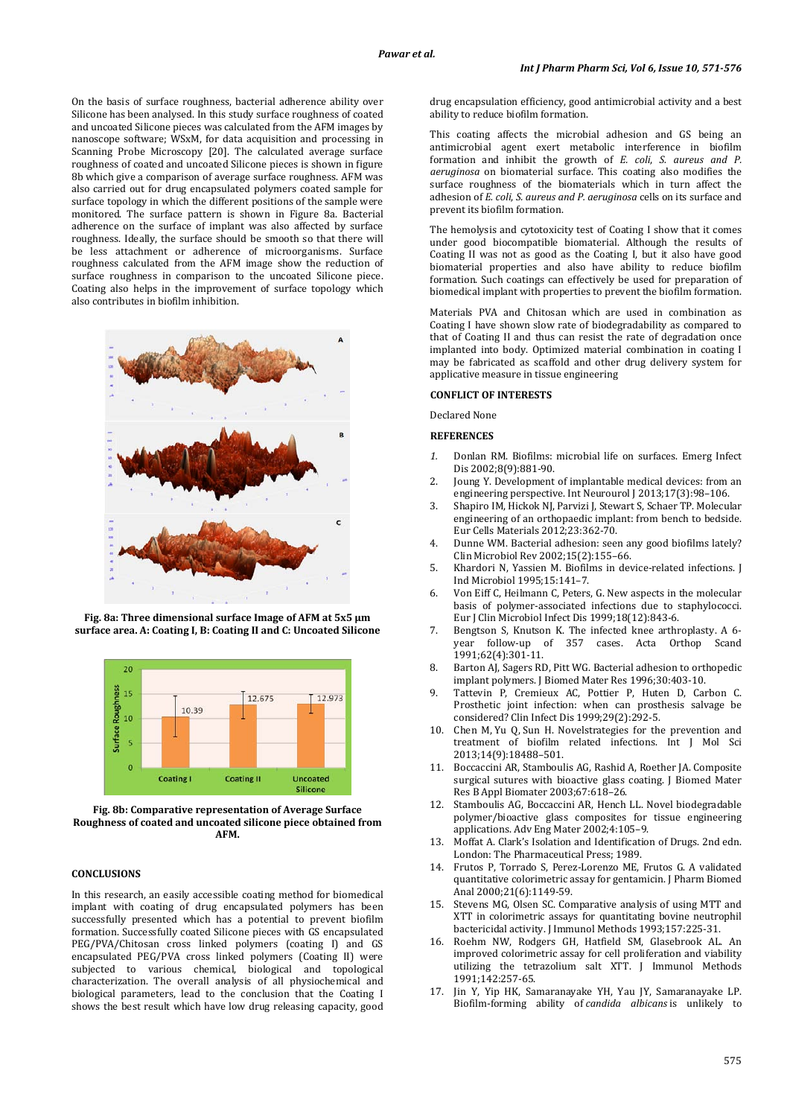On the basis of surface roughness, bacterial adherence ability over Silicone has been analysed. In this study surface roughness of coated and uncoated Silicone pieces was calculated from the AFM images by nanoscope software; WSxM, for data acquisition and processing in Scanning Probe Microscopy [20]. The calculated average surface roughness of coated and uncoated Silicone pieces is shown in figure 8b which give a comparison of average surface roughness. AFM was also carried out for drug encapsulated polymers coated sample for surface topology in which the different positions of the sample were monitored. The surface pattern is shown in Figure 8a. Bacterial adherence on the surface of implant was also affected by surface roughness. Ideally, the surface should be smooth so that there will be less attachment or adherence of microorganisms. Surface roughness calculated from the AFM image show the reduction of surface roughness in comparison to the uncoated Silicone piece. Coating also helps in the improvement of surface topology which also contributes in biofilm inhibition.



**Fig. 8a: Three dimensional surface Image of AFM at 5x5 µm surface area. A: Coating I, B: Coating II and C: Uncoated Silicone**



**Fig. 8b: Comparative representation of Average Surface Roughness of coated and uncoated silicone piece obtained from AFM.**

#### **CONCLUSIONS**

In this research, an easily accessible coating method for biomedical implant with coating of drug encapsulated polymers has been successfully presented which has a potential to prevent biofilm formation. Successfully coated Silicone pieces with GS encapsulated PEG/PVA/Chitosan cross linked polymers (coating I) and GS encapsulated PEG/PVA cross linked polymers (Coating II) were subjected to various chemical, biological and topological characterization. The overall analysis of all physiochemical and biological parameters, lead to the conclusion that the Coating I shows the best result which have low drug releasing capacity, good drug encapsulation efficiency, good antimicrobial activity and a best ability to reduce biofilm formation.

This coating affects the microbial adhesion and GS being an antimicrobial agent exert metabolic interference in biofilm formation and inhibit the growth of *E. coli*, *S. aureus and P. aeruginosa* on biomaterial surface. This coating also modifies the surface roughness of the biomaterials which in turn affect the adhesion of *E. coli*, *S. aureus and P. aeruginosa* cells on its surface and prevent its biofilm formation.

The hemolysis and cytotoxicity test of Coating I show that it comes under good biocompatible biomaterial. Although the results of Coating II was not as good as the Coating I, but it also have good biomaterial properties and also have ability to reduce biofilm formation. Such coatings can effectively be used for preparation of biomedical implant with properties to prevent the biofilm formation.

Materials PVA and Chitosan which are used in combination as Coating I have shown slow rate of biodegradability as compared to that of Coating II and thus can resist the rate of degradation once implanted into body. Optimized material combination in coating I may be fabricated as scaffold and other drug delivery system for applicative measure in tissue engineering

## **CONFLICT OF INTERESTS**

Declared None

#### **REFERENCES**

- *1.* Donlan RM. Biofilms: microbial life on surfaces. Emerg Infect Dis 2002;8(9):881-90.
- 2. Joung Y. Development of implantable medical devices: from an engineering perspective. Int Neurourol J 2013;17(3) :98–106.
- 3. Shapiro IM, Hickok NJ, Parvizi J, Stewart S, Schaer TP. Molecular engineering of an orthopaedic implant: from bench to bedside. Eur Cells Materials 2012;23:362-70.
- 4. Dunne WM. Bacterial adhesion: seen any good biofilms lately? Clin Microbiol Rev 2002;15(2) :155–66.
- 5. Khardori N, Yassien M. Biofilms in device-related infections. J Ind Microbiol 1995;15:141–7.
- 6. Von Eiff C, Heilmann C, Peters, G. New aspects in the molecular basis of polymer-associated infections due to staphylococci. Eur J Clin Microbiol Infect Dis 1999;18(12):843-6.
- 7. Bengtson S, Knutson K. The infected knee arthroplasty. A 6 year follow-up of 357 cases. Acta Orthop 1991;62(4):301-11.
- 8. Barton AJ, Sagers RD, Pitt WG. Bacterial adhesion to orthopedic implant polymers. J Biomed Mater Res 1996;30:403-10.
- 9. Tattevin P, Cremieux AC, Pottier P, Huten D, Carbon C. Prosthetic joint infection: when can prosthesis salvage be considered? Clin Infect Dis 1999;29(2):292-5.
- 10. Chen M, Yu Q, Sun H. Novelstrategies for the prevention and treatment of biofilm related infections. Int J Mol Sci 2013;14(9) :18488–501.
- 11. Boccaccini AR, Stamboulis AG, Rashid A, Roether JA. Composite surgical sutures with bioactive glass coating. J Biomed Mater Res B Appl Biomater 2003;67:618–26.
- 12. Stamboulis AG, Boccaccini AR, Hench LL. Novel biodegradable polymer/bioactive glass composites for tissue engineering applications. Adv Eng Mater 2002;4:105–9.
- 13. Moffat A. Clark's Isolation and Identification of Drugs. 2nd edn. London: The Pharmaceutical Press; 1989.
- 14. Frutos P, Torrado S, Perez-Lorenzo ME, Frutos G. A validated quantitative colorimetric assay for gentamicin. J Pharm Biomed Anal 2000;21(6):1149-59.
- Stevens MG, Olsen SC. Comparative analysis of using MTT and XTT in colorimetric assays for quantitating bovine neutrophil bactericidal activity. J Immunol Methods 1993;157:225-31.
- 16. Roehm NW, Rodgers GH, Hatfield SM, Glasebrook AL. An improved colorimetric assay for cell proliferation and viability utilizing the tetrazolium salt XTT. J Immunol Methods 1991;142:257-65.
- 17. Jin Y, Yip HK, Samaranayake YH, Yau JY, Samaranayake LP. Biofilm-forming ability of *candida albicans* is unlikely to